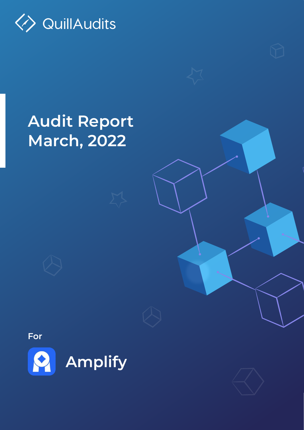**Audit Report March, 2022**



**For**









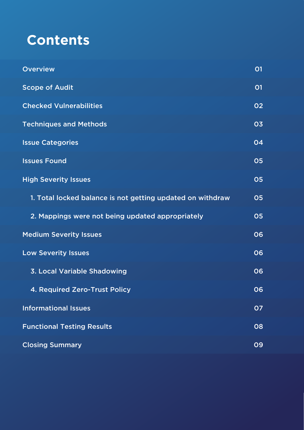

Overview

Scope of Audit

Checked Vulnerabilities

2. Mappings were not being updated appropriately

| <b>Techniques and Methods</b>                              | 03 |
|------------------------------------------------------------|----|
| <b>Issue Categories</b>                                    | 04 |
| <b>Issues Found</b>                                        | 05 |
| <b>High Severity Issues</b>                                | 05 |
| 1. Total locked balance is not getting updated on withdraw | 05 |
|                                                            |    |

Medium Severity Issues

Low Severity Issues

3. Local Variable Shadowing

4. Required Zero-Trust Policy

Informational Issues

Functional Testing Results

#### Closing Summary

01

01



05





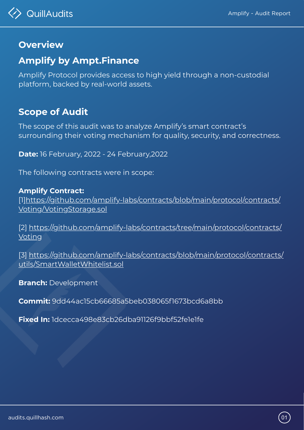audits.quillhash.com 01





Amplify Protocol provides access to high yield through a non-custodial platform, backed by real-world assets.



## **Overview**

## **Amplify by Ampt.Finance**

The scope of this audit was to analyze Amplify's smart contract's surrounding their voting mechanism for quality, security, and correctness.

**Date:** 16 February, 2022 - 24 February,2022

The following contracts were in scope:

**Amplify Contract:** [\[1\]https://github.com/amplify-labs/contracts/blob/main/protocol/contracts/](https://github.com/amplify-labs/contracts/blob/main/protocol/contracts/Voting/VotingStorage.sol) Voting/VotingStorage.sol

[\[2\] https://github.com/amplify-labs/contracts/tree/main/protocol/contracts/](https://github.com/amplify-labs/contracts/tree/main/protocol/contracts/Voting) Voting

[\[3\] https://github.com/amplify-labs/contracts/blob/main/protocol/contracts/](https://github.com/amplify-labs/contracts/blob/main/protocol/contracts/utils/SmartWalletWhitelist.sol) utils/SmartWalletWhitelist.sol

### **Branch:** Development

**Commit:** 9dd44ac15cb66685a5beb038065f1673bcd6a8bb

**Fixed In:** 1dcecca498e83cb26dba91126f9bbf52fe1e1fe

## **Scope of Audit**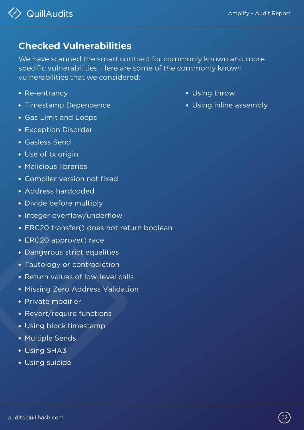We have scanned the smart contract for commonly known and more specific vulnerabilities. Here are some of the commonly known vulnerabilities that we considered:

- Re-entrancy
- Timestamp Dependence

- Gas Limit and Loops
- Exception Disorder
- Gasless Send
- Use of tx.origin
- Malicious libraries
- Compiler version not fixed
- Address hardcoded
- Divide before multiply
- Integer overflow/underflow
- ERC20 transfer() does not return boolean
- ERC20 approve() race
- Dangerous strict equalities
- Tautology or contradiction
- Return values of low-level calls
- Missing Zero Address Validation
- Private modifier
- Revert/require functions
- Using block.timestamp  $\bullet$

## **Checked Vulnerabilities**

Multiple Sends  $\bullet$ Using SHA3 Using suicide

audits.quillhash.com (02



- Using throw
- Using inline assembly

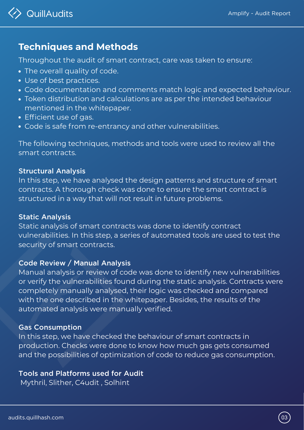## **Techniques and Methods**

Throughout the audit of smart contract, care was taken to ensure:

- The overall quality of code.
- Use of best practices.

Code documentation and comments match logic and expected behaviour.

- Token distribution and calculations are as per the intended behaviour mentioned in the whitepaper.
- 
- Efficient use of gas.
- Code is safe from re-entrancy and other vulnerabilities.

Static analysis of smart contracts was done to identify contract vulnerabilities. In this step, a series of automated tools are used to test the security of smart contracts.

The following techniques, methods and tools were used to review all the smart contracts.

#### Structural Analysis

In this step, we have analysed the design patterns and structure of smart contracts. A thorough check was done to ensure the smart contract is structured in a way that will not result in future problems.

Manual analysis or review of code was done to identify new vulnerabilities or verify the vulnerabilities found during the static analysis. Contracts were completely manually analysed, their logic was checked and compared with the one described in the whitepaper. Besides, the results of the automated analysis were manually verified.

#### Static Analysis

In this step, we have checked the behaviour of smart contracts in production. Checks were done to know how much gas gets consumed and the possibilities of optimization of code to reduce gas consumption.

### Code Review / Manual Analysis

#### Gas Consumption

Tools and Platforms used for Audit Mythril, Slither, C4udit , Solhint

audits.quillhash.com (03



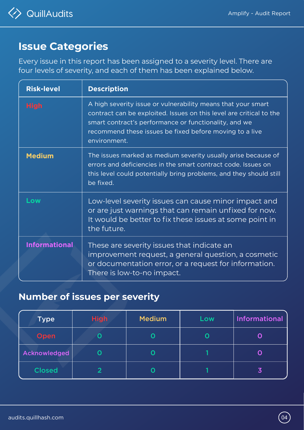audits.quillhash.com 04



## **Issue Categories**

Every issue in this report has been assigned to a severity level. There are four levels of severity, and each of them has been explained below.

| <b>Risk-level</b> | <b>Description</b>                                           |
|-------------------|--------------------------------------------------------------|
| <b>High</b>       | A high severity issue or vulnerability means that your smart |

|               | contract can be exploited. Issues on this level are critical to the<br>smart contract's performance or functionality, and we<br>recommend these issues be fixed before moving to a live<br>environment.           |
|---------------|-------------------------------------------------------------------------------------------------------------------------------------------------------------------------------------------------------------------|
| <b>Medium</b> | The issues marked as medium severity usually arise because of<br>errors and deficiencies in the smart contract code. Issues on<br>this level could potentially bring problems, and they should still<br>be fixed. |
| Low           | Low-level severity issues can cause minor impact and<br>or are just warnings that can remain unfixed for now.<br>It wauld he hotter to fiv thece iccurs at come point in                                          |

**Informational** It would be better to fix these issues at some point in the future. These are severity issues that indicate an improvement request, a general question, a cosmetic or documentation error, or a request for information. There is low-to-no impact.

## **Number of issues per severity**

| Open         |  |            |
|--------------|--|------------|
| Acknowledged |  | $\bigcirc$ |
| Closed       |  |            |

| <b>Type</b> | <b>100</b><br>ISIH | Medium | OW | Informational |
|-------------|--------------------|--------|----|---------------|
|             |                    |        |    |               |

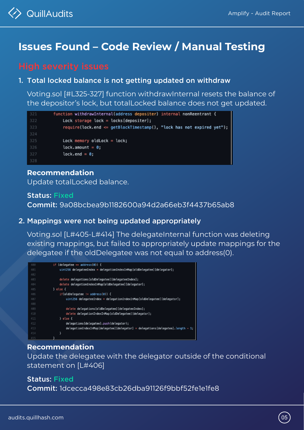audits.quillhash.com 05



## **Issues Found – Code Review / Manual Testing**

Status: Fixed Commit: 9a08bcbea9b1182600a94d2a66eb3f4437b65ab8

### Status: Fixed Commit: 1dcecca498e83cb26dba91126f9bbf52fe1e1fe8

1. Total locked balance is not getting updated on withdraw

2. Mappings were not being updated appropriately

Voting.sol [#L325-327] function withdrawInternal resets the balance of the depositor's lock, but totalLocked balance does not get updated.

```
function withdrawInternal(address depositer) internal nonReentrant {
321
              Lock storage lock = locks[depositer];322
              require(lock.end \leq getBlockTimestamp(), "lock has not expired yet");
323
324
              Lock memory oldLock = lock;
325
              lock.name = 0;
326
              lock.end = 0;327
328
```
Voting.sol [L#405-L#414] The delegateInternal function was deleting existing mappings, but failed to appropriately update mappings for the delegatee if the oldDelegatee was not equal to address(0).

| 400 | if (delegatee == $address(0)$ ) {                                                  |
|-----|------------------------------------------------------------------------------------|
| 401 | $uint256$ delegateeIndex = delegationIndexInMap[oldDelegatee][delegator];          |
| 402 |                                                                                    |
| 403 | delete delegations[oldDelegatee][delegateeIndex];                                  |
| 404 | delete delegationIndexInMap[oldDelegatee][delegator];                              |
| 405 | } else {                                                                           |
| 406 | if(oldDelegatee != address(0)) {                                                   |
| 407 | $uint256$ delegateeIndex = delegationIndexInMap[oldDelegatee][delegator];          |
| 408 |                                                                                    |
| 409 | delete delegations[oldDelegatee][delegateeIndex];                                  |
| 410 | delete delegationIndexInMap[oldDelegatee][delegator];                              |
| 411 | } else {                                                                           |
| 412 | delegations[delegatee].push(delegator);                                            |
| 413 | $delegationIndexInMap[delegatee][delegator] = delegation[delegates] . length - 1;$ |



**Recommendation** Update totalLocked balance.

### **Recommendation** Update the delegatee with the delegator outside of the conditional statement on [L#406]

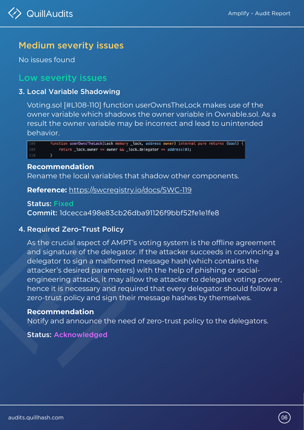3. Local Variable Shadowing

Voting.sol [#L108-110] function userOwnsTheLock makes use of the

owner variable which shadows the owner variable in Ownable.sol. As a result the owner variable may be incorrect and lead to unintended behavior.

| 108 | function userOwnsTheLock(Lock memory _lock, address owner) internal pure returns (bool) { |
|-----|-------------------------------------------------------------------------------------------|
| 109 | return $\_\text{lock. owner} == owner < \_\text{lock.}$ delegator == address(0);          |
| 110 |                                                                                           |

As the crucial aspect of AMPT's voting system is the offline agreement and signature of the delegator. If the attacker succeeds in convincing a delegator to sign a malformed message hash(which contains the attacker's desired parameters) with the help of phishing or socialengineering attacks, it may allow the attacker to delegate voting power, hence it is necessary and required that every delegator should follow a zero-trust policy and sign their message hashes by themselves.

No issues found

## Low severity issues

### **Recommendation**

Rename the local variables that shadow other components.

### 4. Required Zero-Trust Policy

### Status: Acknowledged

audits.quillhash.com (06)



**Reference:** <https://swcregistry.io/docs/SWC-119>

### **Recommendation**

Notify and announce the need of zero-trust policy to the delegators.

## Medium severity issues

Status: Fixed Commit: 1dcecca498e83cb26dba91126f9bbf52fe1e1fe8

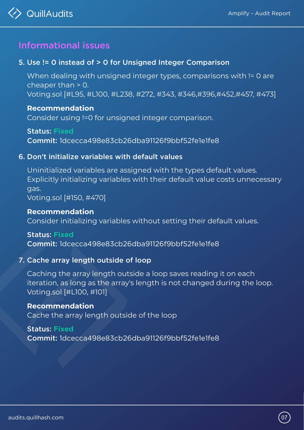5. Use != 0 instead of > 0 for Unsigned Integer Comparison

6. Don't initialize variables with default values

When dealing with unsigned integer types, comparisons with != 0 are cheaper than > 0. Voting.sol [#L95, #L100, #L238, #272, #343, #346,#396,#452,#457, #473]

## Informational issues

Uninitialized variables are assigned with the types default values. Explicitly initializing variables with their default value costs unnecessary gas. Voting.sol [#150, #470]

7. Cache array length outside of loop Caching the array length outside a loop saves reading it on each iteration, as long as the array's length is not changed during the loop. Voting.sol [#L100, #101] Consider initializing variables without setting their default values. **Recommendation** Cache the array length outside of the loop Status: Fixed Commit: 1dcecca498e83cb26dba91126f9bbf52fe1e1fe8

#### **Recommendation**

Consider using !=0 for unsigned integer comparison.

#### **Recommendation**

Status: Fixed Commit: 1dcecca498e83cb26dba91126f9bbf52fe1e1fe8

Status: Fixed

#### Commit: 1dcecca498e83cb26dba91126f9bbf52fe1e1fe8

audits.quillhash.com (07



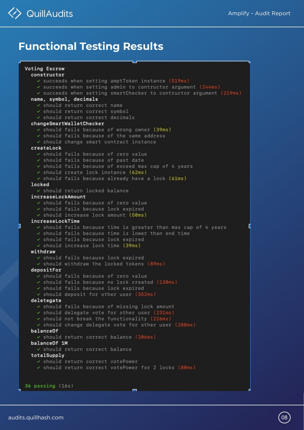



## **Functional Testing Results**

#### Voting Escrow constructor

- $\checkmark$  succeeds when setting amptToken instance (519ms)
- $\checkmark$  succeeds when setting admin to contructor argument (244ms)
- $\checkmark$  succeeds when setting smartChecker to contructor argument (219ms)
- name, symbol, decimals
	- v should return correct name
	- v should return correct symbol
	- v should return correct decimals

#### changeSmartWalletChecker

- $\checkmark$  should fails because of wrong owner (39ms)
- $\checkmark$  should fails because of the same address
- $\checkmark$  should change smart contract instance

#### createLock

- v should fails because of zero value
- $\checkmark$  should fails because of past date
- $\checkmark$  should fails because of exceed max cap of 4 years
- $\checkmark$  should create lock instance (62ms)
- $\checkmark$  should fails because already have a lock (61ms) locked
	- v should return locked balance

#### increaseLockAmount

- √ should fails because of zero value
- $\checkmark$  should fails because lock expired
- $\checkmark$  should increase lock amount (50ms)

#### increaseLockTime

- $\checkmark$  should fails because time is greater than max cap of 4 years
- $\checkmark$  should fails because time is lower than end time
- $\checkmark$  should fails because lock expired
- $\checkmark$  should increase lock time (39ms)

#### withdraw

- $\checkmark$  should fails because lock expired
- $\checkmark$  should withdraw the locked tokens (89ms)

#### depositFor

- v should fails because of zero value
- $\checkmark$  should fails because no lock created (130ms)
- $\checkmark$  should fails because lock expired
- $\checkmark$  should deposit for other user (352ms)

#### deletegate

- $\checkmark$  should fails because of missing lock amount
- $\checkmark$  should delegate vote for other user (231ms)
- $\checkmark$  should not break the functionality (226ms)
- $\checkmark$  should change delegate vote for other user (280ms)

| balanceOf                                          |                                                                 |
|----------------------------------------------------|-----------------------------------------------------------------|
| $\checkmark$ should return correct balance (206ms) |                                                                 |
| balanceOf 1M                                       |                                                                 |
| v should return correct balance                    |                                                                 |
| totalSupply                                        |                                                                 |
| v should return correct votePower                  |                                                                 |
|                                                    | $\checkmark$ should return correct votePower for 2 locks (80ms) |
|                                                    |                                                                 |
|                                                    |                                                                 |
| $36$ passing $(16s)$                               |                                                                 |
|                                                    |                                                                 |

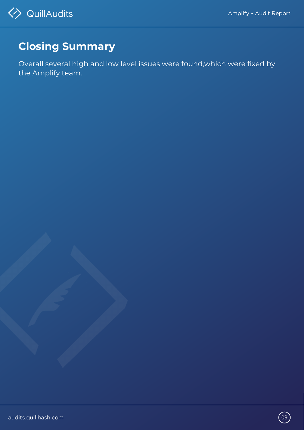## **Closing Summary**

Overall several high and low level issues were found,which were fixed by the Amplify team.



audits.quillhash.com and the set of the set of the set of the set of the set of the set of the set of the set o



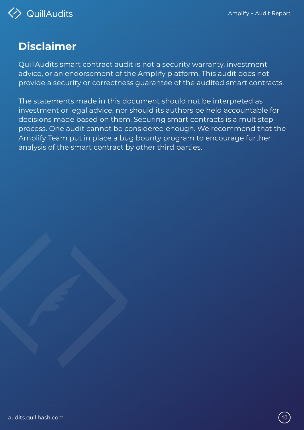## **Disclaimer**

The statements made in this document should not be interpreted as investment or legal advice, nor should its authors be held accountable for decisions made based on them. Securing smart contracts is a multistep process. One audit cannot be considered enough. We recommend that the Amplify Team put in place a bug bounty program to encourage further analysis of the smart contract by other third parties.



audits.quillhash.com (10



QuillAudits smart contract audit is not a security warranty, investment advice, or an endorsement of the Amplify platform. This audit does not provide a security or correctness guarantee of the audited smart contracts.